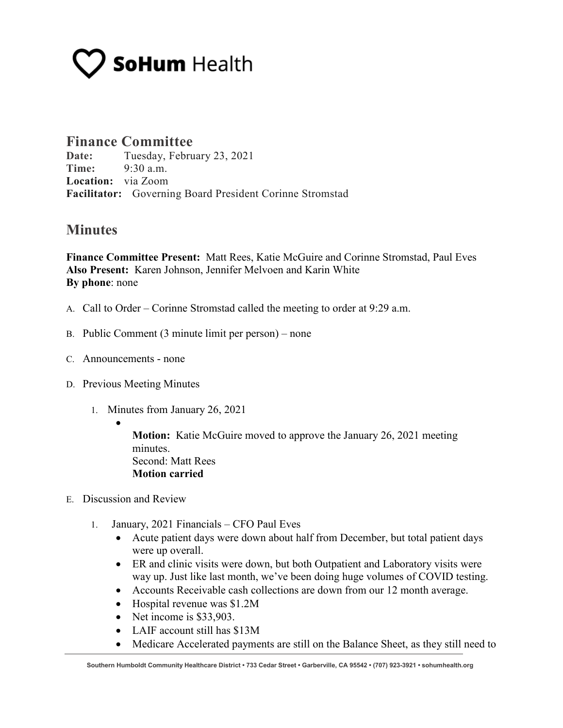# **SoHum** Health

### **Finance Committee**

**Date:** Tuesday, February 23, 2021 **Time:** 9:30 a.m. **Location:** via Zoom **Facilitator:** Governing Board President Corinne Stromstad

### **Minutes**

**Finance Committee Present:** Matt Rees, Katie McGuire and Corinne Stromstad, Paul Eves **Also Present:** Karen Johnson, Jennifer Melvoen and Karin White **By phone**: none

- A. Call to Order Corinne Stromstad called the meeting to order at 9:29 a.m.
- B. Public Comment (3 minute limit per person) none
- C. Announcements none
- D. Previous Meeting Minutes
	- 1. Minutes from January 26, 2021
		- •

**Motion:** Katie McGuire moved to approve the January 26, 2021 meeting minutes. Second: Matt Rees **Motion carried**

- E. Discussion and Review
	- 1. January, 2021 Financials CFO Paul Eves
		- Acute patient days were down about half from December, but total patient days were up overall.
		- ER and clinic visits were down, but both Outpatient and Laboratory visits were way up. Just like last month, we've been doing huge volumes of COVID testing.
		- Accounts Receivable cash collections are down from our 12 month average.
		- Hospital revenue was \$1.2M
		- Net income is \$33,903.
		- LAIF account still has \$13M
		- Medicare Accelerated payments are still on the Balance Sheet, as they still need to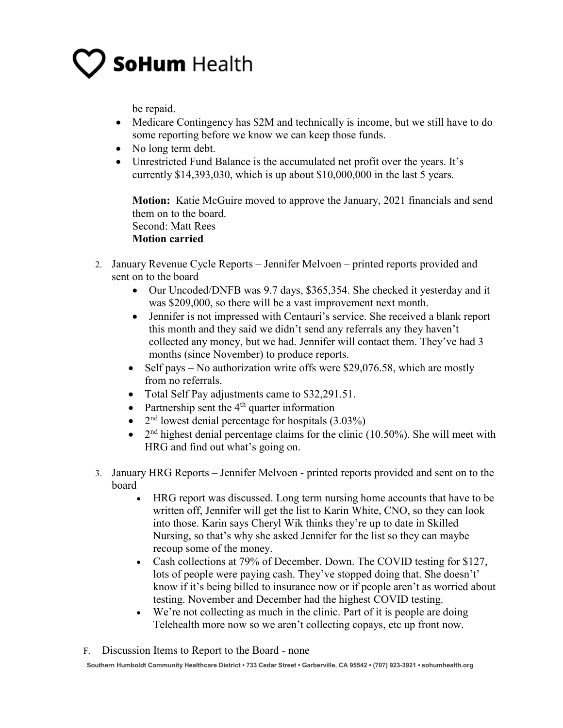## **SoHum Health**

be repaid.

- Medicare Contingency has \$2M and technically is income, but we still have to do some reporting before we know we can keep those funds.
- No long term debt.
- Unrestricted Fund Balance is the accumulated net profit over the years. It's currently \$14,393,030, which is up about \$10,000,000 in the last 5 years.

**Motion:** Katie McGuire moved to approve the January, 2021 financials and send them on to the board. Second: Matt Rees

#### **Motion carried**

- 2. January Revenue Cycle Reports Jennifer Melvoen printed reports provided and sent on to the board
	- Our Uncoded/DNFB was 9.7 days, \$365,354. She checked it yesterday and it was \$209,000, so there will be a vast improvement next month.
	- Jennifer is not impressed with Centauri's service. She received a blank report this month and they said we didn't send any referrals any they haven't collected any money, but we had. Jennifer will contact them. They've had 3 months (since November) to produce reports.
	- Self pays No authorization write offs were \$29,076.58, which are mostly from no referrals.
	- Total Self Pay adjustments came to \$32,291.51.
	- Partnership sent the  $4<sup>th</sup>$  quarter information
	- $2<sup>nd</sup>$  lowest denial percentage for hospitals (3.03%)
	- $2<sup>nd</sup>$  highest denial percentage claims for the clinic (10.50%). She will meet with HRG and find out what's going on.
- 3. January HRG Reports Jennifer Melvoen printed reports provided and sent on to the board
	- HRG report was discussed. Long term nursing home accounts that have to be written off, Jennifer will get the list to Karin White, CNO, so they can look into those. Karin says Cheryl Wik thinks they're up to date in Skilled Nursing, so that's why she asked Jennifer for the list so they can maybe recoup some of the money.
	- Cash collections at 79% of December. Down. The COVID testing for \$127, lots of people were paying cash. They've stopped doing that. She doesn't' know if it's being billed to insurance now or if people aren't as worried about testing. November and December had the highest COVID testing.
	- We're not collecting as much in the clinic. Part of it is people are doing Telehealth more now so we aren't collecting copays, etc up front now.
- F. Discussion Items to Report to the Board none